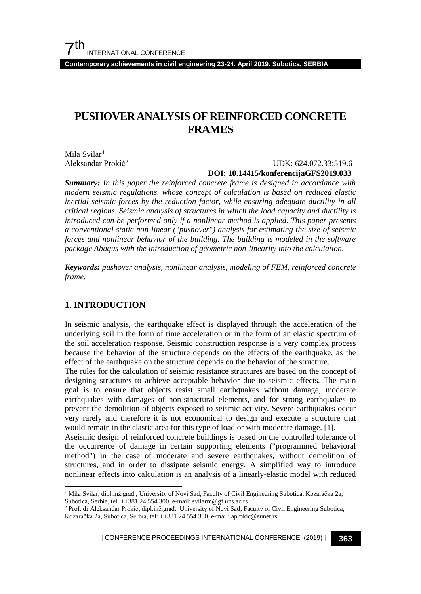$7<sup>th</sup>$ INTERNATIONAL CONFERENCE

**Contemporary achievements in civil engineering 23-24. April 2019. Subotica, SERBIA**

# **PUSHOVER ANALYSIS OF REINFORCED CONCRETE FRAMES**

Mila Svilar<sup>[1](#page-0-0)</sup> Aleksandar Prokić[2](#page-0-1)

 UDK: 624.072.33:519.6  **DOI: 10.14415/konferencijaGFS2019.033**

*Summary: In this paper the reinforced concrete frame is designed in accordance with modern seismic regulations, whose concept of calculation is based on reduced elastic inertial seismic forces by the reduction factor, while ensuring adequate ductility in all critical regions. Seismic analysis of structures in which the load capacity and ductility is introduced can be performed only if a nonlinear method is applied. This paper presents a conventional static non-linear ("pushover") analysis for estimating the size of seismic forces and nonlinear behavior of the building. The building is modeled in the software package Abaqus with the introduction of geometric non-linearity into the calculation.*

*Keywords: pushover analysis, nonlinear analysis, modeling of FEM, reinforced concrete frame.*

# **1. INTRODUCTION**

In seismic analysis, the earthquake effect is displayed through the acceleration of the underlying soil in the form of time acceleration or in the form of an elastic spectrum of the soil acceleration response. Seismic construction response is a very complex process because the behavior of the structure depends on the effects of the earthquake, as the effect of the earthquake on the structure depends on the behavior of the structure.

The rules for the calculation of seismic resistance structures are based on the concept of designing structures to achieve acceptable behavior due to seismic effects. The main goal is to ensure that objects resist small earthquakes without damage, moderate earthquakes with damages of non-structural elements, and for strong earthquakes to prevent the demolition of objects exposed to seismic activity. Severe earthquakes occur very rarely and therefore it is not economical to design and execute a structure that would remain in the elastic area for this type of load or with moderate damage. [1].

Aseismic design of reinforced concrete buildings is based on the controlled tolerance of the occurrence of damage in certain supporting elements ("programmed behavioral method") in the case of moderate and severe earthquakes, without demolition of structures, and in order to dissipate seismic energy. A simplified way to introduce nonlinear effects into calculation is an analysis of a linearly-elastic model with reduced

<span id="page-0-0"></span> <sup>1</sup> Mila Svilar, dipl.inž.građ., University of Novi Sad, Faculty of Civil Engineering Subotica, Kozaračka 2a, Subotica, Serbia, tel: ++381 24 554 300, e-mail: svilarm@gf.uns.ac.rs

<span id="page-0-1"></span><sup>2</sup> Prof. dr Aleksandar Prokić, dipl.inž.građ., University of Novi Sad, Faculty of Civil Engineering Subotica, Kozaračka 2a, Subotica, Serbia, tel: ++381 24 554 300, e-mail: aprokic@eunet.rs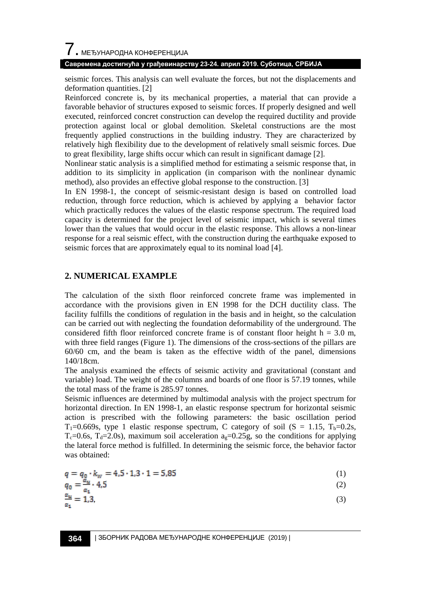# $\overline{\phantom{a}}$ . МЕЂУНАРОДНА КОНФЕРЕНЦИЈА

#### **Савремена достигнућа у грађевинарству 23-24. април 2019. Суботица, СРБИЈА**

seismic forces. This analysis can well evaluate the forces, but not the displacements and deformation quantities. [2]

Reinforced concrete is, by its mechanical properties, a material that can provide a favorable behavior of structures exposed to seismic forces. If properly designed and well executed, reinforced concret construction can develop the required ductility and provide protection against local or global demolition. Skeletal constructions are the most frequently applied constructions in the building industry. They are characterized by relatively high flexibility due to the development of relatively small seismic forces. Due to great flexibility, large shifts occur which can result in significant damage [2].

Nonlinear static analysis is a simplified method for estimating a seismic response that, in addition to its simplicity in application (in comparison with the nonlinear dynamic method), also provides an effective global response to the construction. [3]

In EN 1998-1, the concept of seismic-resistant design is based on controlled load reduction, through force reduction, which is achieved by applying a behavior factor which practically reduces the values of the elastic response spectrum. The required load capacity is determined for the project level of seismic impact, which is several times lower than the values that would occur in the elastic response. This allows a non-linear response for a real seismic effect, with the construction during the earthquake exposed to seismic forces that are approximately equal to its nominal load [4].

#### **2. NUMERICAL EXAMPLE**

The calculation of the sixth floor reinforced concrete frame was implemented in accordance with the provisions given in EN 1998 for the DCH ductility class. The facility fulfills the conditions of regulation in the basis and in height, so the calculation can be carried out with neglecting the foundation deformability of the underground. The considered fifth floor reinforced concrete frame is of constant floor height  $h = 3.0$  m, with three field ranges (Figure 1). The dimensions of the cross-sections of the pillars are 60/60 cm, and the beam is taken as the effective width of the panel, dimensions 140/18cm.

The analysis examined the effects of seismic activity and gravitational (constant and variable) load. The weight of the columns and boards of one floor is 57.19 tonnes, while the total mass of the frame is 285.97 tonnes.

Seismic influences are determined by multimodal analysis with the project spectrum for horizontal direction. In EN 1998-1, an elastic response spectrum for horizontal seismic action is prescribed with the following parameters: the basic oscillation period  $T_1=0.669s$ , type 1 elastic response spectrum, C category of soil (S = 1.15, T<sub>b</sub>=0.2s, T<sub>c</sub>=0.6s, T<sub>d</sub>=2.0s), maximum soil acceleration  $a<sub>g</sub>$ =0.25g, so the conditions for applying the lateral force method is fulfilled. In determining the seismic force, the behavior factor was obtained:

$$
q = q_0 \cdot k_w = 4.5 \cdot 1.3 \cdot 1 = 5.85 \tag{1}
$$

$$
q_0 = \frac{a_u}{a} \cdot 4.5 \tag{2}
$$

$$
\frac{a_u}{a_s} = 1.3,\tag{3}
$$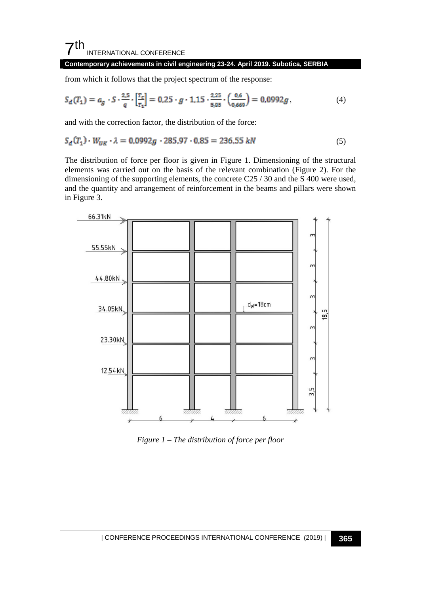#### $7<sup>th</sup>$ INTERNATIONAL CONFERENCE

#### **Contemporary achievements in civil engineering 23-24. April 2019. Subotica, SERBIA**

from which it follows that the project spectrum of the response:

$$
S_{d}(T_1) = a_g \cdot S \cdot \frac{2.5}{q} \cdot \left[\frac{T_c}{T_1}\right] = 0.25 \cdot g \cdot 1.15 \cdot \frac{2.25}{5.95} \cdot \left(\frac{0.6}{0.669}\right) = 0.0992g\,,\tag{4}
$$

and with the correction factor, the distribution of the force:

$$
S_d(T_1) \cdot W_{UK} \cdot \lambda = 0.0992g \cdot 285.97 \cdot 0.85 = 236.55 \text{ kN}
$$
 (5)

The distribution of force per floor is given in Figure 1. Dimensioning of the structural elements was carried out on the basis of the relevant combination (Figure 2). For the dimensioning of the supporting elements, the concrete C25 / 30 and the S 400 were used, and the quantity and arrangement of reinforcement in the beams and pillars were shown in Figure 3.



*Figure 1 – The distribution of force per floor*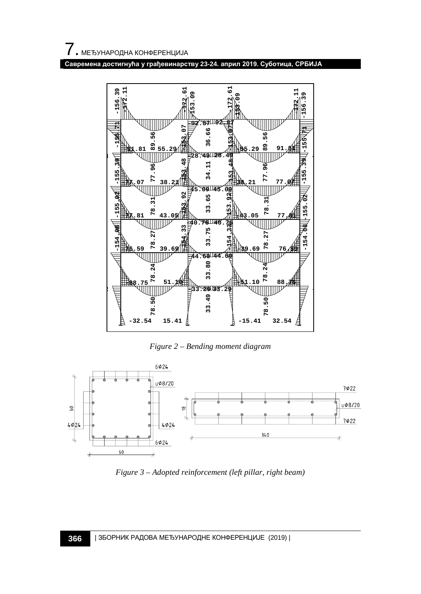**Савремена достигнућа у грађевинарству 23-24. април 2019. Суботица, СРБИЈА**



*Figure 2 – Bending moment diagram*



*Figure 3 – Adopted reinforcement (left pillar, right beam)*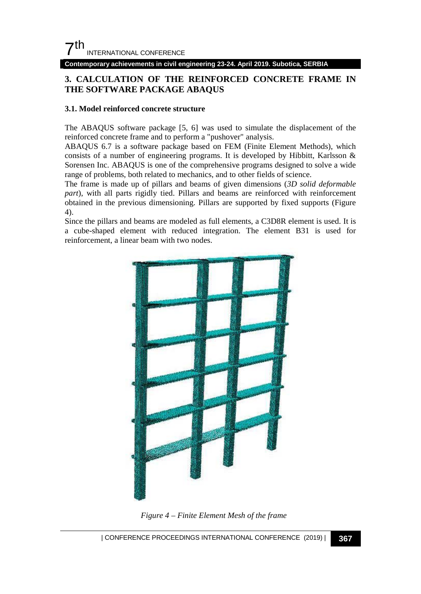**Contemporary achievements in civil engineering 23-24. April 2019. Subotica, SERBIA**

# **3. CALCULATION OF THE REINFORCED CONCRETE FRAME IN THE SOFTWARE PACKAGE ABAQUS**

#### **3.1. Model reinforced concrete structure**

The ABAQUS software package [5, 6] was used to simulate the displacement of the reinforced concrete frame and to perform a "pushover" analysis.

ABAQUS 6.7 is a software package based on FEM (Finite Element Methods), which consists of a number of engineering programs. It is developed by Hibbitt, Karlsson & Sorensen Inc. ABAQUS is one of the comprehensive programs designed to solve a wide range of problems, both related to mechanics, and to other fields of science.

The frame is made up of pillars and beams of given dimensions (*3D solid deformable part*), with all parts rigidly tied. Pillars and beams are reinforced with reinforcement obtained in the previous dimensioning. Pillars are supported by fixed supports (Figure 4).

Since the pillars and beams are modeled as full elements, a C3D8R element is used. It is a cube-shaped element with reduced integration. The element B31 is used for reinforcement, a linear beam with two nodes.



*Figure 4 – Finite Element Mesh of the frame*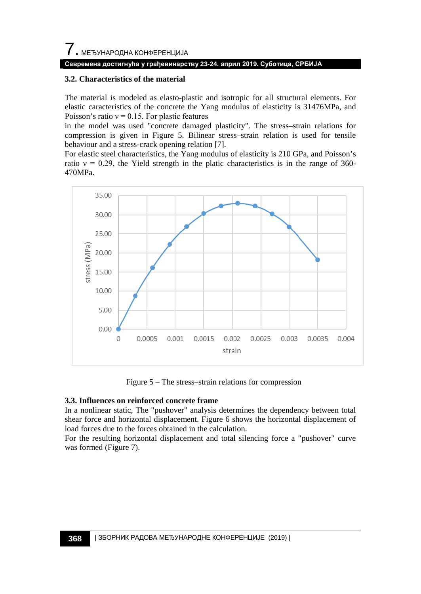# **Савремена достигнућа у грађевинарству 23-24. април 2019. Суботица, СРБИЈА**

#### **3.2. Characteristics of the material**

The material is modeled as elasto-plastic and isotropic for all structural elements. For elastic caracteristics of the concrete the Yang modulus of elasticity is 31476MPa, and Poisson's ratio  $v = 0.15$ . For plastic features

in the model was used "concrete damaged plasticity". The stress–strain relations for compression is given in Figure 5. Bilinear stress–strain relation is used for tensile behaviour and a stress-crack opening relation [7].

For elastic steel characteristics, the Yang modulus of elasticity is 210 GPa, and Poisson's ratio  $v = 0.29$ , the Yield strength in the platic characteristics is in the range of 360-470MPa.



Figure 5 – The stress–strain relations for compression

#### **3.3. Influences on reinforced concrete frame**

In a nonlinear static, The "pushover" analysis determines the dependency between total shear force and horizontal displacement. Figure 6 shows the horizontal displacement of load forces due to the forces obtained in the calculation.

For the resulting horizontal displacement and total silencing force a "pushover" curve was formed (Figure 7).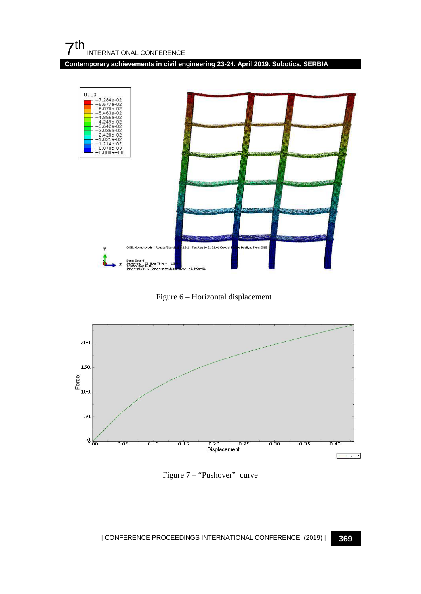**Contemporary achievements in civil engineering 23-24. April 2019. Subotica, SERBIA**



Figure 6 – Horizontal displacement



Figure 7 – "Pushover" curve